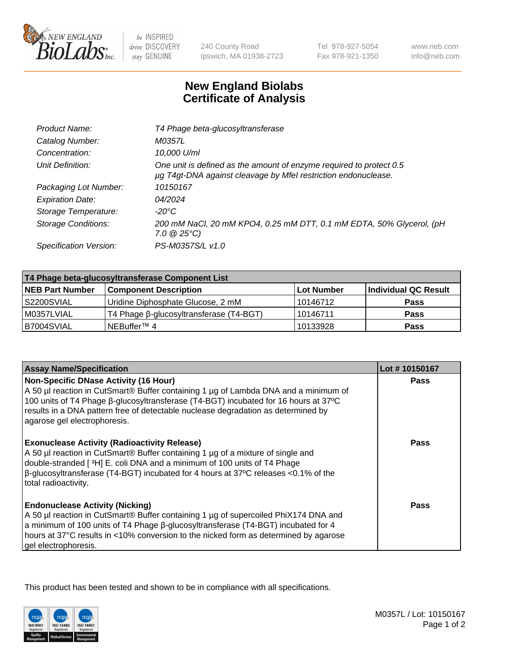

 $be$  INSPIRED drive DISCOVERY stay GENUINE

240 County Road Ipswich, MA 01938-2723 Tel 978-927-5054 Fax 978-921-1350 www.neb.com info@neb.com

## **New England Biolabs Certificate of Analysis**

| Catalog Number:<br>M0357L<br>10,000 U/ml<br>Concentration:<br>One unit is defined as the amount of enzyme required to protect 0.5<br>Unit Definition:<br>µg T4gt-DNA against cleavage by Mfel restriction endonuclease.<br>Packaging Lot Number:<br>10150167<br>04/2024<br><b>Expiration Date:</b><br>Storage Temperature:<br>-20°C<br><b>Storage Conditions:</b><br>$7.0 \ @ 25^{\circ}C$ | Product Name:          | T4 Phage beta-glucosyltransferase                                    |
|--------------------------------------------------------------------------------------------------------------------------------------------------------------------------------------------------------------------------------------------------------------------------------------------------------------------------------------------------------------------------------------------|------------------------|----------------------------------------------------------------------|
|                                                                                                                                                                                                                                                                                                                                                                                            |                        |                                                                      |
|                                                                                                                                                                                                                                                                                                                                                                                            |                        |                                                                      |
|                                                                                                                                                                                                                                                                                                                                                                                            |                        |                                                                      |
|                                                                                                                                                                                                                                                                                                                                                                                            |                        |                                                                      |
|                                                                                                                                                                                                                                                                                                                                                                                            |                        |                                                                      |
|                                                                                                                                                                                                                                                                                                                                                                                            |                        |                                                                      |
|                                                                                                                                                                                                                                                                                                                                                                                            |                        | 200 mM NaCl, 20 mM KPO4, 0.25 mM DTT, 0.1 mM EDTA, 50% Glycerol, (pH |
|                                                                                                                                                                                                                                                                                                                                                                                            | Specification Version: | PS-M0357S/L v1.0                                                     |

| T4 Phage beta-glucosyltransferase Component List |                                         |                   |                      |  |
|--------------------------------------------------|-----------------------------------------|-------------------|----------------------|--|
| <b>NEB Part Number</b>                           | <b>Component Description</b>            | <b>Lot Number</b> | Individual QC Result |  |
| S2200SVIAL                                       | Uridine Diphosphate Glucose, 2 mM       | 10146712          | <b>Pass</b>          |  |
| M0357LVIAL                                       | T4 Phage β-glucosyltransferase (T4-BGT) | 10146711          | <b>Pass</b>          |  |
| B7004SVIAL                                       | NEBuffer <sup>™</sup> 4                 | 10133928          | Pass                 |  |

| <b>Assay Name/Specification</b>                                                                                                                                                                                                                                                                                                                     | Lot #10150167 |
|-----------------------------------------------------------------------------------------------------------------------------------------------------------------------------------------------------------------------------------------------------------------------------------------------------------------------------------------------------|---------------|
| Non-Specific DNase Activity (16 Hour)<br>A 50 µl reaction in CutSmart® Buffer containing 1 µg of Lambda DNA and a minimum of<br>100 units of T4 Phage β-glucosyltransferase (T4-BGT) incubated for 16 hours at 37°C<br>results in a DNA pattern free of detectable nuclease degradation as determined by<br>agarose gel electrophoresis.            | <b>Pass</b>   |
| <b>Exonuclease Activity (Radioactivity Release)</b><br>A 50 µl reaction in CutSmart® Buffer containing 1 µg of a mixture of single and<br>double-stranded [ <sup>3</sup> H] E. coli DNA and a minimum of 100 units of T4 Phage<br>$\beta$ -glucosyltransferase (T4-BGT) incubated for 4 hours at 37°C releases <0.1% of the<br>total radioactivity. | Pass          |
| <b>Endonuclease Activity (Nicking)</b><br>A 50 µl reaction in CutSmart® Buffer containing 1 µg of supercoiled PhiX174 DNA and<br>a minimum of 100 units of T4 Phage β-glucosyltransferase (T4-BGT) incubated for 4<br>hours at 37°C results in <10% conversion to the nicked form as determined by agarose<br>gel electrophoresis.                  | Pass          |

This product has been tested and shown to be in compliance with all specifications.